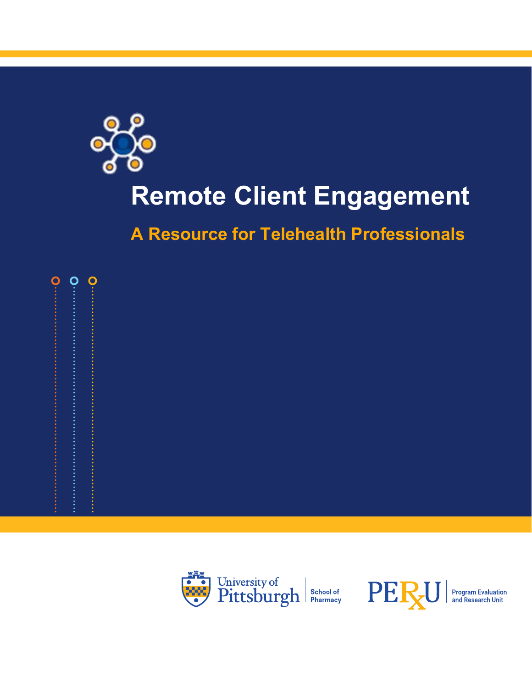

## **Remote Client Engagement**

**A Resource for Telehealth Professionals**



0





**Program Evaluation**<br>and Research Unit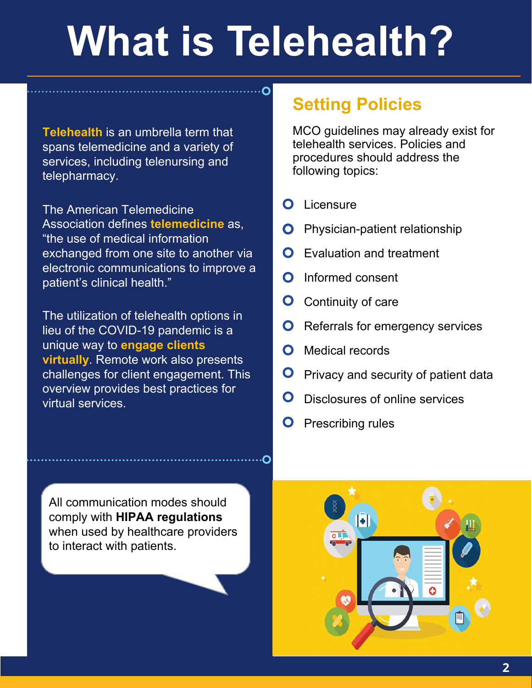# **What is Telehealth?**

**Telehealth** is an umbrella term that spans telemedicine and a variety of services, including telenursing and telepharmacy.

The American Telemedicine Association defines **telemedicine** as, "the use of medical information exchanged from one site to another via electronic communications to improve a patient's clinical health."

The utilization of telehealth options in lieu of the COVID-19 pandemic is a unique way to **engage clients virtually**. Remote work also presents challenges for client engagement. This overview provides best practices for virtual services.

#### **Setting Policies**

MCO guidelines may already exist for telehealth services. Policies and procedures should address the following topics:

- $\Omega$ Licensure
- Physician-patient relationship O
- Evaluation and treatment
- Informed consent O
- O Continuity of care
- Referrals for emergency services
- Medical records O
- $\mathbf O$ Privacy and security of patient data
- O Disclosures of online services
- Prescribing rules

All communication modes should comply with **HIPAA regulations** when used by healthcare providers to interact with patients.

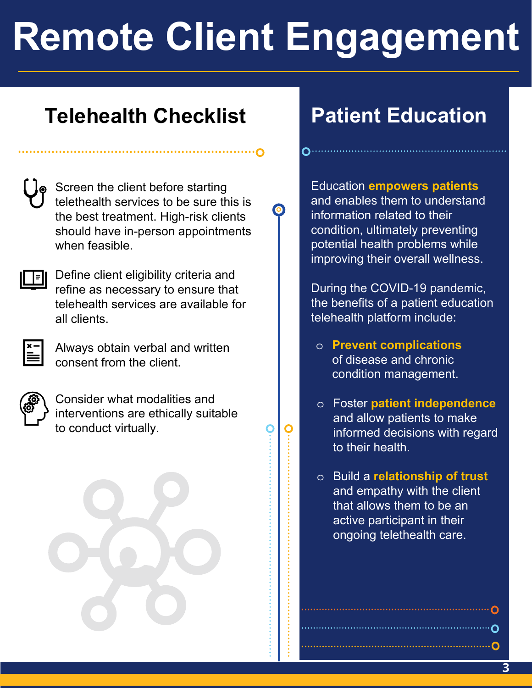# **Remote Client Engagement**

#### **Telehealth Checklist**

| C<br>í |  |
|--------|--|
|        |  |

Screen the client before starting telethealth services to be sure this is the best treatment. High-risk clients should have in-person appointments when feasible.

 $\sum_{i=1}^{n}$ 



Define client eligibility criteria and refine as necessary to ensure that telehealth services are available for all clients.



Always obtain verbal and written consent from the client.



Consider what modalities and interventions are ethically suitable to conduct virtually.

### **Patient Education**

Education **empowers patients** and enables them to understand information related to their condition, ultimately preventing potential health problems while improving their overall wellness.

During the COVID-19 pandemic, the benefits of a patient education telehealth platform include:

- o **Prevent complications** of disease and chronic condition management.
- o Foster **patient independence** and allow patients to make informed decisions with regard to their health.
- o Build a **relationship of trust** and empathy with the client that allows them to be an active participant in their ongoing telethealth care.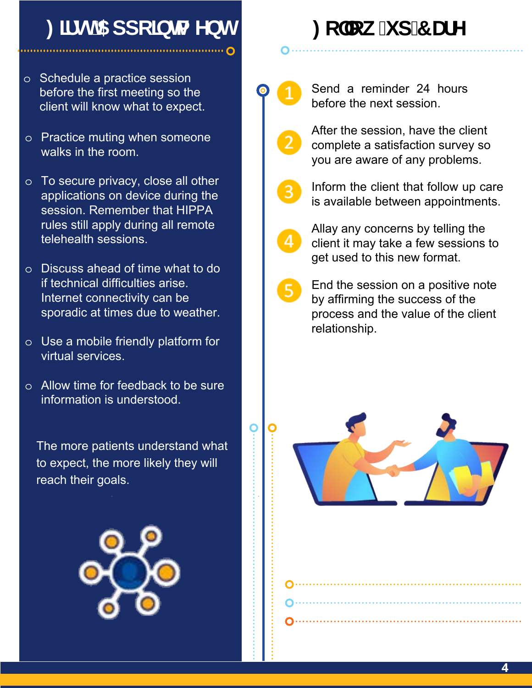### **: ]fgh5 ddc]bha Ybh**

#### o Schedule a practice session before the first meeting so the client will know what to expect.

- o Practice muting when someone walks in the room.
- o To secure privacy, close all other applications on device during the session. Remember that HIPPA rules still apply during all remote telehealth sessions.
- o Discuss ahead of time what to do if technical difficulties arise. Internet connectivity can be sporadic at times due to weather.
- o Use a mobile friendly platform for virtual services.
- o Allow time for feedback to be sure information is understood.

The more patients understand what to expect, the more likely they will reach their goals.



## <code>:c``ck!</code>i d'7 UfY



Send a reminder 24 hours before the next session.



After the session, have the client complete a satisfaction survey so you are aware of any problems.



Inform the client that follow up care is available between appointments.



O

Allay any concerns by telling the client it may take a few sessions to get used to this new format.

End the session on a positive note by affirming the success of the process and the value of the client relationship.